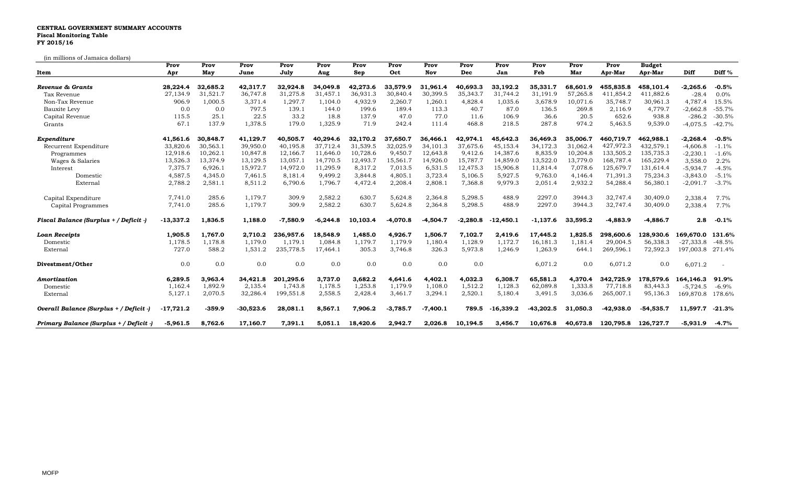## **CENTRAL GOVERNMENT SUMMARY ACCOUNTS Fiscal Monitoring Table FY 2015/16**

(in millions of Jamaica dollars)

**Prov Prov Prov Prov Prov Prov Prov Prov Prov Prov Prov Prov Prov Budget Item Apr May June July Aug Sep Oct Nov Dec Jan Feb Mar Apr-Mar Apr-Mar Diff Diff %** Revenue & Grants 28,224.4 32,685.2 42,317.7 32,924.8 34,049.8 42,273.6 33,579.9 31,961.4 40,693.3 33,192.2 35,331.7 68,601.9 455,835.8 458,101.4 -2,265.6 -0.5% Tax Revenue 27,134.9 31,521.7 36,747.8 31,275.8 31,457.1 36,931.3 30,840.4 30,399.5 35,343.7 31,744.2 31,191.9 57,265.8 411,854.2 411,882.6 -28.4 0.0% Non-Tax Revenue 906.9 1,000.5 3,371.4 1,297.7 1,104.0 4,932.9 2,260.7 1,260.1 4,828.4 1,035.6 3,678.9 10,071.6 35,748.7 30,961.3 4,787. Bauxite Levy 0.0 0.0 797.5 139.1 144.0 199.6 189.4 113.3 40.7 87.0 136.5 269.8 2,116.9 4,779.7 -2,662.8 -55.7% Capital Revenue 115.5 25.1 22.5 33.2 18.8 137.9 47.0 77.0 11.6 106.9 36.6 20.5 652.6 938.8 -286.2 -30.5% Grants 67.1 137.9 1,378.5 179.0 1,325.9 71.9 242.4 111.4 468.8 218.5 287.8 974.2 5,463.5 9,539.0 -4,075.5 -42.7% Expenditure 41,561.6 30,848.7 41,129.7 40,505.7 40,294.6 32,170.2 37,650.7 36,466.1 42,974.1 45,642.3 36,469.3 35,006.7 460,719.7 462,988.1 -2,268.4 -0.5% Recurrent Expenditure 33,820.6 30,563.1 39,950.0 40,195.8 37,712.4 31,539.5 32,025.9 34,101.3 37,675.6 45,153.4 34,172.3 31,062.4 427,972.3 432,579.1 -4,606.8 -1.1% Programmes 12,918.6 10,262.1 10,847.8 12,166.7 11,646.0 10,728.6 9,450.7 12,643.8 9,412.6 14,387.6 8,835.9 10,204.8 133,505.2 135,735.3 -2,230.1 -1.6% Wages & Salaries 13,526.3 13,374.9 13,129.5 13,057.1 14,770.5 12,493.7 15,561.7 14,926.0 15,787.7 14,859.0 13,522.0 13,779.0 168,787.4 165,229.4 3,558.0 2.2% Interest 7,375.7 6,926.1 15,972.7 14,972.0 11,295.9 8,317.2 7,013.5 6,531.5 12,475.3 15,906.8 11,814.4 7,078.6 125,679.7 131,614.4 -5,934.7 -4.5% Domestic 4,587.5 4,345.0 7,461.5 8,181.4 9,499.2 3,844.8 4,805.1 3,723.4 5,106.5 5,927.5 9,763.0 4,146.4 71,391.3 75,234.3 -3,843.0 -5.1% External 2,788.2 2,581.1 8,511.2 6,790.6 1,796.7 4,472.4 2,208.4 2,808.1 7,368.8 9,979.3 2,051.4 2,932.2 54,288.4 56,380.1 -2,091.7 -3.7% Capital Expenditure 7,741.0 285.6 1,179.7 309.9 2,582.2 630.7 5,624.8 2,364.8 5,298.5 488.9 2297.0 3944.3 32,747.4 30,409.0 2,338.4 7.7% Capital Programmes 7,741.0 285.6 1,179.7 309.9 2,582.2 630.7 5,624.8 2,364.8 5,298.5 488.9 2297.0 3944.3 32,747.4 30,409.0 2,338.4 7.7% Fiscal Balance (Surplus + / Deficit -) -13,337.2 1,836.5 1,188.0 -7,580.9 -6,244.8 10,103.4 -4,070.8 -4,504.7 -2,280.8 -12,450.1 -1,137.6 33,595.2 -4,883.9 -4,886.7 2.8 -0.1% Loan Receipts 1,905.5 1,767.0 2,710.2 236,957.6 18,548.9 1,485.0 4,926.7 1,506.7 7,102.7 2,419.6 17,445.2 1,825.5 298,600.6 128,930.6 169,670.0 131.6% Domestic 1,178.5 1,178.8 1,179.0 1,179.1 1,084.8 1,179.7 1,179.9 1,180.4 1,128.9 1,172.7 16,181.3 1,181.4 29,004.5 56,338.3 -27,333.8 -48.5% External 727.0 588.2 1,531.2 235,778.5 17,464.1 305.3 3,746.8 326.3 5,973.8 1,246.9 1,263.9 644.1 269,596.1 72,592.3 197,003.8 271.4% **Divestment/Other** 0.0 0.0 0.0 0.0 0.0 0.0 0.0 0.0 0.0 6,071.2 0.0 6,071.2 0.0 6,071.2 - *Amortization* **6,289.5 3,963.4 34,421.8 201,295.6 3,737.0 3,682.2 4,641.6 4,402.1 4,032.3 6,308.7 65,581.3 4,370.4 342,725.9 178,579.6 164,146.3 91.9%** Domestic 1,162.4 1,892.9 2,135.4 1,743.8 1,178.5 1,253.8 1,179.9 1,108.0 1,512.2 1,128.3 62,089.8 1,333.8 77,718.8 83,443.3 -5,724.5 -6.9% External 5,127.1 2,070.5 32,286.4 199,551.8 2,558.5 2,428.4 3,461.7 3,294.1 2,520.1 5,180.4 3,491.5 3,036.6 265,007.1 95,136.3 169,870.8 178.6% Overall Balance (Surplus + / Deficit -) -17,721.2 -359.9 -30,523.6 28,081.1 8,567.1 7,906.2 -3,785.7 -7,400.1 789.5 -16,339.2 -43,202.5 31,050.3 -42,938.0 -54,535.7 11,597.7 -21.3% Primary Balance (Surplus + / Deficit ) -5,961.5 8,762.6 17,160.7 7,391.1 5,051.1 18,420.6 2,942.7 2,026.8 10,194.5 3,456.7 10,676.8 40,673.8 120,795.8 126,727.7 -5,931.9 -4.7%